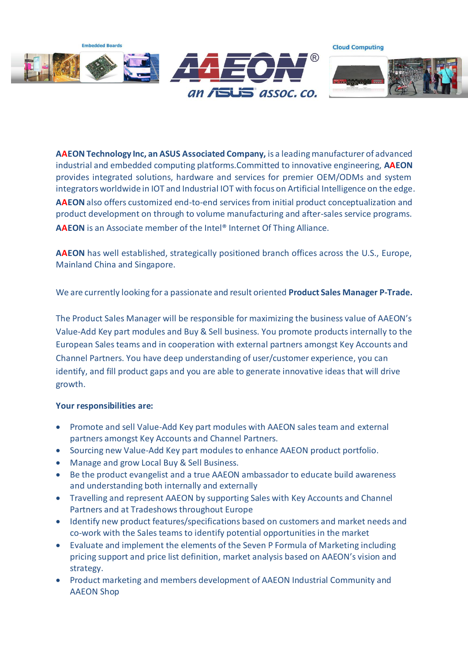

**AAEON Technology Inc, an ASUS Associated Company,** is a leading manufacturer of advanced industrial and embedded computing platforms.Committed to innovative engineering, **AAEON** provides integrated solutions, hardware and services for premier OEM/ODMs and system integrators worldwide in IOT and Industrial IOT with focus on Artificial Intelligence on the edge. **AAEON** also offers customized end-to-end services from initial product conceptualization and product development on through to volume manufacturing and after-sales service programs. **AAEON** is an Associate member of the Intel® Internet Of Thing Alliance.

**AAEON** has well established, strategically positioned branch offices across the U.S., Europe, Mainland China and Singapore.

We are currently looking for a passionate and result oriented **Product Sales Manager P-Trade.**

The Product Sales Manager will be responsible for maximizing the business value of AAEON's Value-Add Key part modules and Buy & Sell business. You promote products internally to the European Sales teams and in cooperation with external partners amongst Key Accounts and Channel Partners. You have deep understanding of user/customer experience, you can identify, and fill product gaps and you are able to generate innovative ideas that will drive growth.

## **Your responsibilities are:**

- Promote and sell Value-Add Key part modules with AAEON sales team and external partners amongst Key Accounts and Channel Partners.
- Sourcing new Value-Add Key part modules to enhance AAEON product portfolio.
- Manage and grow Local Buy & Sell Business.
- Be the product evangelist and a true AAEON ambassador to educate build awareness and understanding both internally and externally
- Travelling and represent AAEON by supporting Sales with Key Accounts and Channel Partners and at Tradeshows throughout Europe
- Identify new product features/specifications based on customers and market needs and co-work with the Sales teams to identify potential opportunities in the market
- Evaluate and implement the elements of the Seven P Formula of Marketing including pricing support and price list definition, market analysis based on AAEON's vision and strategy.
- Product marketing and members development of AAEON Industrial Community and AAEON Shop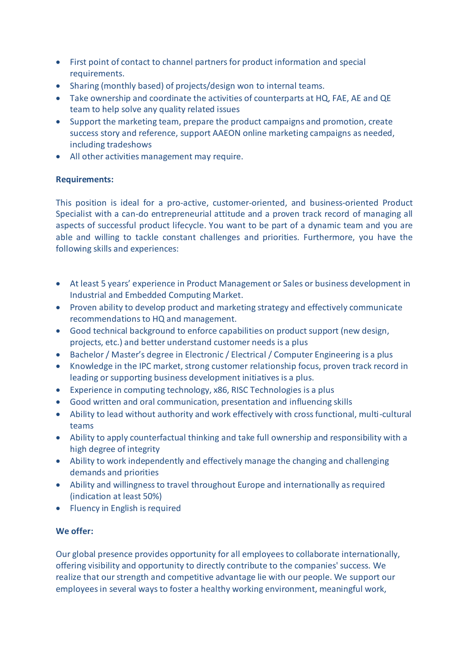- First point of contact to channel partners for product information and special requirements.
- Sharing (monthly based) of projects/design won to internal teams.
- Take ownership and coordinate the activities of counterparts at HQ, FAE, AE and QE team to help solve any quality related issues
- Support the marketing team, prepare the product campaigns and promotion, create success story and reference, support AAEON online marketing campaigns as needed, including tradeshows
- All other activities management may require.

## **Requirements:**

This position is ideal for a pro-active, customer-oriented, and business-oriented Product Specialist with a can-do entrepreneurial attitude and a proven track record of managing all aspects of successful product lifecycle. You want to be part of a dynamic team and you are able and willing to tackle constant challenges and priorities. Furthermore, you have the following skills and experiences:

- At least 5 years' experience in Product Management or Sales or business development in Industrial and Embedded Computing Market.
- Proven ability to develop product and marketing strategy and effectively communicate recommendations to HQ and management.
- Good technical background to enforce capabilities on product support (new design, projects, etc.) and better understand customer needs is a plus
- Bachelor / Master's degree in Electronic / Electrical / Computer Engineering is a plus
- Knowledge in the IPC market, strong customer relationship focus, proven track record in leading or supporting business development initiatives is a plus.
- Experience in computing technology, x86, RISC Technologies is a plus
- Good written and oral communication, presentation and influencing skills
- Ability to lead without authority and work effectively with cross functional, multi-cultural teams
- Ability to apply counterfactual thinking and take full ownership and responsibility with a high degree of integrity
- Ability to work independently and effectively manage the changing and challenging demands and priorities
- Ability and willingness to travel throughout Europe and internationally as required (indication at least 50%)
- Fluency in English is required

## **We offer:**

Our global presence provides opportunity for all employees to collaborate internationally, offering visibility and opportunity to directly contribute to the companies' success. We realize that our strength and competitive advantage lie with our people. We support our employees in several ways to foster a healthy working environment, meaningful work,